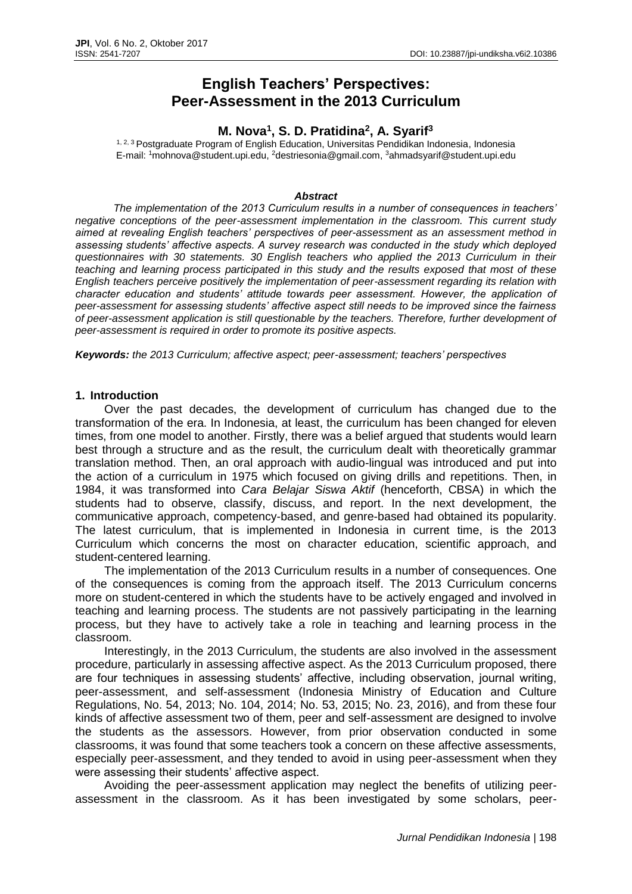# **English Teachers' Perspectives: Peer-Assessment in the 2013 Curriculum**

## **M. Nova<sup>1</sup> , S. D. Pratidina<sup>2</sup> , A. Syarif<sup>3</sup>**

<sup>1, 2, 3</sup> Postgraduate Program of English Education, Universitas Pendidikan Indonesia, Indonesia E-mail: <sup>1</sup>[mohnova@student.upi.edu,](mailto:mohnova@student.upi.edu) <sup>2</sup>[destriesonia@gmail.com,](mailto:destriesonia@gmail.com) <sup>3</sup>[ahmadsyarif@student.upi.edu](mailto:ahmadsyarif@student.upi.edu)

#### *Abstract*

*The implementation of the 2013 Curriculum results in a number of consequences in teachers' negative conceptions of the peer-assessment implementation in the classroom. This current study aimed at revealing English teachers' perspectives of peer-assessment as an assessment method in assessing students' affective aspects. A survey research was conducted in the study which deployed questionnaires with 30 statements. 30 English teachers who applied the 2013 Curriculum in their teaching and learning process participated in this study and the results exposed that most of these English teachers perceive positively the implementation of peer-assessment regarding its relation with character education and students' attitude towards peer assessment. However, the application of peer-assessment for assessing students' affective aspect still needs to be improved since the fairness of peer-assessment application is still questionable by the teachers. Therefore, further development of peer-assessment is required in order to promote its positive aspects.*

*Keywords: the 2013 Curriculum; affective aspect; peer-assessment; teachers' perspectives*

#### **1. Introduction**

Over the past decades, the development of curriculum has changed due to the transformation of the era. In Indonesia, at least, the curriculum has been changed for eleven times, from one model to another. Firstly, there was a belief argued that students would learn best through a structure and as the result, the curriculum dealt with theoretically grammar translation method. Then, an oral approach with audio-lingual was introduced and put into the action of a curriculum in 1975 which focused on giving drills and repetitions. Then, in 1984, it was transformed into *Cara Belajar Siswa Aktif* (henceforth, CBSA) in which the students had to observe, classify, discuss, and report. In the next development, the communicative approach, competency-based, and genre-based had obtained its popularity. The latest curriculum, that is implemented in Indonesia in current time, is the 2013 Curriculum which concerns the most on character education, scientific approach, and student-centered learning.

The implementation of the 2013 Curriculum results in a number of consequences. One of the consequences is coming from the approach itself. The 2013 Curriculum concerns more on student-centered in which the students have to be actively engaged and involved in teaching and learning process. The students are not passively participating in the learning process, but they have to actively take a role in teaching and learning process in the classroom.

Interestingly, in the 2013 Curriculum, the students are also involved in the assessment procedure, particularly in assessing affective aspect. As the 2013 Curriculum proposed, there are four techniques in assessing students' affective, including observation, journal writing, peer-assessment, and self-assessment (Indonesia Ministry of Education and Culture Regulations, No. 54, 2013; No. 104, 2014; No. 53, 2015; No. 23, 2016), and from these four kinds of affective assessment two of them, peer and self-assessment are designed to involve the students as the assessors. However, from prior observation conducted in some classrooms, it was found that some teachers took a concern on these affective assessments, especially peer-assessment, and they tended to avoid in using peer-assessment when they were assessing their students' affective aspect.

Avoiding the peer-assessment application may neglect the benefits of utilizing peerassessment in the classroom. As it has been investigated by some scholars, peer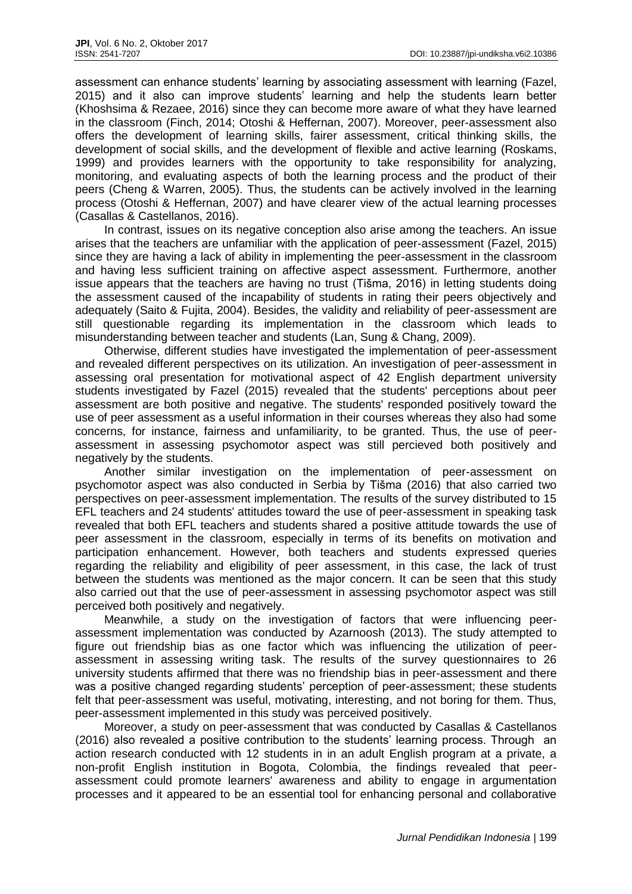assessment can enhance students' learning by associating assessment with learning (Fazel, 2015) and it also can improve students' learning and help the students learn better (Khoshsima & Rezaee, 2016) since they can become more aware of what they have learned in the classroom (Finch, 2014; Otoshi & Heffernan, 2007). Moreover, peer-assessment also offers the development of learning skills, fairer assessment, critical thinking skills, the development of social skills, and the development of flexible and active learning (Roskams, 1999) and provides learners with the opportunity to take responsibility for analyzing, monitoring, and evaluating aspects of both the learning process and the product of their peers (Cheng & Warren, 2005). Thus, the students can be actively involved in the learning process (Otoshi & Heffernan, 2007) and have clearer view of the actual learning processes (Casallas & Castellanos, 2016).

In contrast, issues on its negative conception also arise among the teachers. An issue arises that the teachers are unfamiliar with the application of peer-assessment (Fazel, 2015) since they are having a lack of ability in implementing the peer-assessment in the classroom and having less sufficient training on affective aspect assessment. Furthermore, another issue appears that the teachers are having no trust (Tišma, 2016) in letting students doing the assessment caused of the incapability of students in rating their peers objectively and adequately (Saito & Fujita, 2004). Besides, the validity and reliability of peer-assessment are still questionable regarding its implementation in the classroom which leads to misunderstanding between teacher and students (Lan, Sung & Chang, 2009).

Otherwise, different studies have investigated the implementation of peer-assessment and revealed different perspectives on its utilization. An investigation of peer-assessment in assessing oral presentation for motivational aspect of 42 English department university students investigated by Fazel (2015) revealed that the students' perceptions about peer assessment are both positive and negative. The students' responded positively toward the use of peer assessment as a useful information in their courses whereas they also had some concerns, for instance, fairness and unfamiliarity, to be granted. Thus, the use of peerassessment in assessing psychomotor aspect was still percieved both positively and negatively by the students.

Another similar investigation on the implementation of peer-assessment on psychomotor aspect was also conducted in Serbia by Tišma (2016) that also carried two perspectives on peer-assessment implementation. The results of the survey distributed to 15 EFL teachers and 24 students' attitudes toward the use of peer-assessment in speaking task revealed that both EFL teachers and students shared a positive attitude towards the use of peer assessment in the classroom, especially in terms of its benefits on motivation and participation enhancement. However, both teachers and students expressed queries regarding the reliability and eligibility of peer assessment, in this case, the lack of trust between the students was mentioned as the major concern. It can be seen that this study also carried out that the use of peer-assessment in assessing psychomotor aspect was still perceived both positively and negatively.

Meanwhile, a study on the investigation of factors that were influencing peerassessment implementation was conducted by Azarnoosh (2013). The study attempted to figure out friendship bias as one factor which was influencing the utilization of peerassessment in assessing writing task. The results of the survey questionnaires to 26 university students affirmed that there was no friendship bias in peer-assessment and there was a positive changed regarding students' perception of peer-assessment; these students felt that peer-assessment was useful, motivating, interesting, and not boring for them. Thus, peer-assessment implemented in this study was perceived positively.

Moreover, a study on peer-assessment that was conducted by Casallas & Castellanos (2016) also revealed a positive contribution to the students' learning process. Through an action research conducted with 12 students in in an adult English program at a private, a non-profit English institution in Bogota, Colombia, the findings revealed that peerassessment could promote learners' awareness and ability to engage in argumentation processes and it appeared to be an essential tool for enhancing personal and collaborative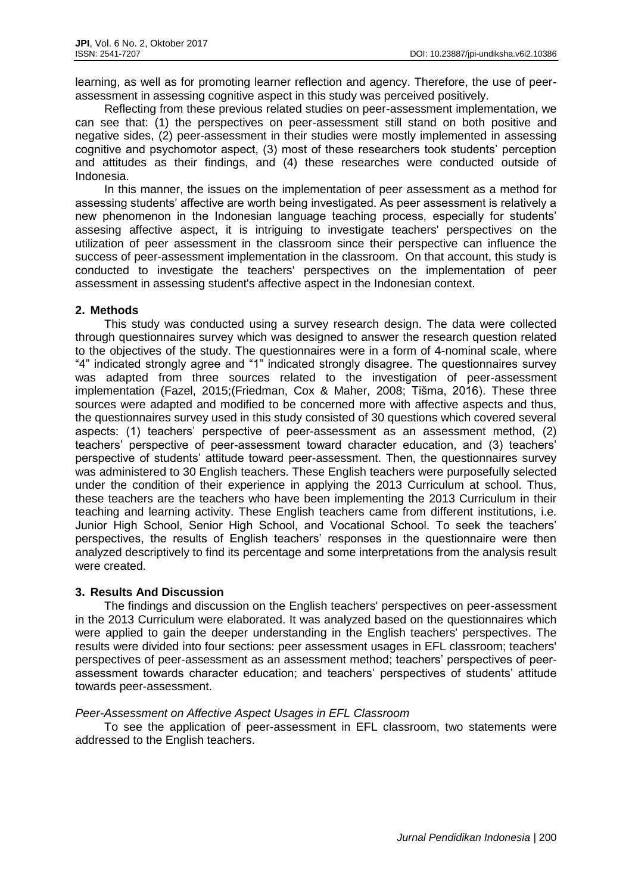learning, as well as for promoting learner reflection and agency. Therefore, the use of peerassessment in assessing cognitive aspect in this study was perceived positively.

Reflecting from these previous related studies on peer-assessment implementation, we can see that: (1) the perspectives on peer-assessment still stand on both positive and negative sides, (2) peer-assessment in their studies were mostly implemented in assessing cognitive and psychomotor aspect, (3) most of these researchers took students' perception and attitudes as their findings, and (4) these researches were conducted outside of Indonesia.

In this manner, the issues on the implementation of peer assessment as a method for assessing students' affective are worth being investigated. As peer assessment is relatively a new phenomenon in the Indonesian language teaching process, especially for students' assesing affective aspect, it is intriguing to investigate teachers' perspectives on the utilization of peer assessment in the classroom since their perspective can influence the success of peer-assessment implementation in the classroom. On that account, this study is conducted to investigate the teachers' perspectives on the implementation of peer assessment in assessing student's affective aspect in the Indonesian context.

## **2. Methods**

This study was conducted using a survey research design. The data were collected through questionnaires survey which was designed to answer the research question related to the objectives of the study. The questionnaires were in a form of 4-nominal scale, where "4" indicated strongly agree and "1" indicated strongly disagree. The questionnaires survey was adapted from three sources related to the investigation of peer-assessment implementation (Fazel, 2015;(Friedman, Cox & Maher, 2008; Tišma, 2016). These three sources were adapted and modified to be concerned more with affective aspects and thus, the questionnaires survey used in this study consisted of 30 questions which covered several aspects: (1) teachers' perspective of peer-assessment as an assessment method, (2) teachers' perspective of peer-assessment toward character education, and (3) teachers' perspective of students' attitude toward peer-assessment. Then, the questionnaires survey was administered to 30 English teachers. These English teachers were purposefully selected under the condition of their experience in applying the 2013 Curriculum at school. Thus, these teachers are the teachers who have been implementing the 2013 Curriculum in their teaching and learning activity. These English teachers came from different institutions, i.e. Junior High School, Senior High School, and Vocational School. To seek the teachers' perspectives, the results of English teachers' responses in the questionnaire were then analyzed descriptively to find its percentage and some interpretations from the analysis result were created.

## **3. Results And Discussion**

The findings and discussion on the English teachers' perspectives on peer-assessment in the 2013 Curriculum were elaborated. It was analyzed based on the questionnaires which were applied to gain the deeper understanding in the English teachers' perspectives. The results were divided into four sections: peer assessment usages in EFL classroom; teachers' perspectives of peer-assessment as an assessment method; teachers' perspectives of peerassessment towards character education; and teachers' perspectives of students' attitude towards peer-assessment.

## *Peer-Assessment on Affective Aspect Usages in EFL Classroom*

To see the application of peer-assessment in EFL classroom, two statements were addressed to the English teachers.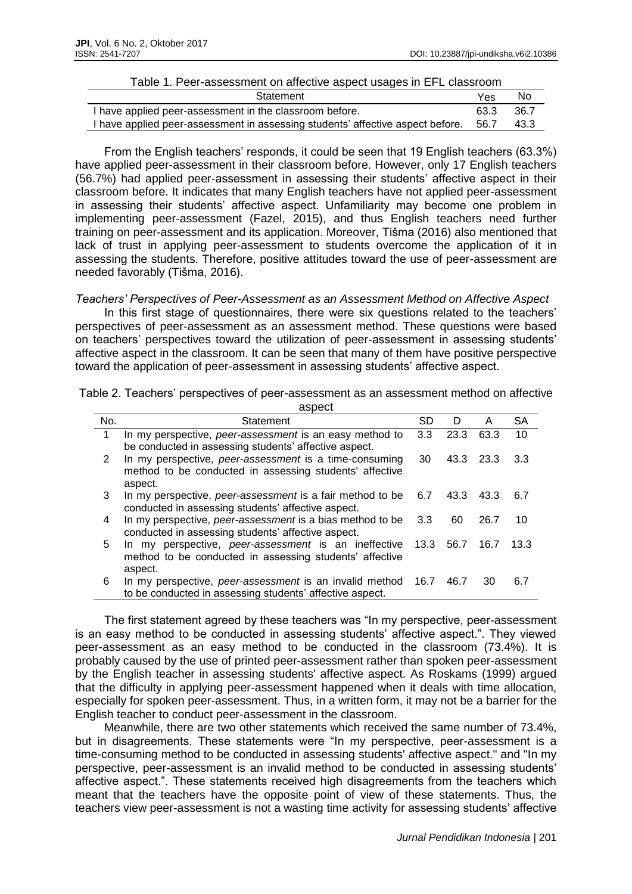#### Table 1. Peer-assessment on affective aspect usages in EFL classroom

| Statement                                                                           | Yes  | No.    |
|-------------------------------------------------------------------------------------|------|--------|
| I have applied peer-assessment in the classroom before.                             | 63.3 | - 36.7 |
| I have applied peer-assessment in assessing students' affective aspect before. 56.7 |      | 43.3   |

From the English teachers' responds, it could be seen that 19 English teachers (63.3%) have applied peer-assessment in their classroom before. However, only 17 English teachers (56.7%) had applied peer-assessment in assessing their students' affective aspect in their classroom before. It indicates that many English teachers have not applied peer-assessment in assessing their students' affective aspect. Unfamiliarity may become one problem in implementing peer-assessment (Fazel, 2015), and thus English teachers need further training on peer-assessment and its application. Moreover, Tišma (2016) also mentioned that lack of trust in applying peer-assessment to students overcome the application of it in assessing the students. Therefore, positive attitudes toward the use of peer-assessment are needed favorably (Tišma, 2016).

*Teachers' Perspectives of Peer-Assessment as an Assessment Method on Affective Aspect*

In this first stage of questionnaires, there were six questions related to the teachers' perspectives of peer-assessment as an assessment method. These questions were based on teachers' perspectives toward the utilization of peer-assessment in assessing students' affective aspect in the classroom. It can be seen that many of them have positive perspective toward the application of peer-assessment in assessing students' affective aspect.

Table 2. Teachers' perspectives of peer-assessment as an assessment method on affective aspect

|     | aopoot                                                    |      |           |      |      |
|-----|-----------------------------------------------------------|------|-----------|------|------|
| No. | Statement                                                 | SD   | Ð         | A    | SΑ   |
| 1   | In my perspective, peer-assessment is an easy method to   | 3.3  | 23.3      | 63.3 | 10   |
|     | be conducted in assessing students' affective aspect.     |      |           |      |      |
| 2   | In my perspective, peer-assessment is a time-consuming    | 30   | 43.3 23.3 |      | 3.3  |
|     | method to be conducted in assessing students' affective   |      |           |      |      |
|     | aspect.                                                   |      |           |      |      |
| 3   | In my perspective, peer-assessment is a fair method to be | 6.7  | 43.3      | 43.3 | 6.7  |
|     | conducted in assessing students' affective aspect.        |      |           |      |      |
| 4   | In my perspective, peer-assessment is a bias method to be | 3.3  | 60        | 26.7 | 10   |
|     | conducted in assessing students' affective aspect.        |      |           |      |      |
| 5   | In my perspective, peer-assessment is an ineffective      | 13.3 | 56.7      | 16.7 | 13.3 |
|     | method to be conducted in assessing students' affective   |      |           |      |      |
|     | aspect.                                                   |      |           |      |      |
| 6   | In my perspective, peer-assessment is an invalid method   | 16.7 | 46.7      | 30   | 6.7  |
|     | to be conducted in assessing students' affective aspect.  |      |           |      |      |

The first statement agreed by these teachers was "In my perspective, peer-assessment is an easy method to be conducted in assessing students' affective aspect.". They viewed peer-assessment as an easy method to be conducted in the classroom (73.4%). It is probably caused by the use of printed peer-assessment rather than spoken peer-assessment by the English teacher in assessing students' affective aspect. As Roskams (1999) argued that the difficulty in applying peer-assessment happened when it deals with time allocation, especially for spoken peer-assessment. Thus, in a written form, it may not be a barrier for the English teacher to conduct peer-assessment in the classroom.

Meanwhile, there are two other statements which received the same number of 73.4%, but in disagreements. These statements were "In my perspective, peer-assessment is a time-consuming method to be conducted in assessing students' affective aspect." and "In my perspective, peer-assessment is an invalid method to be conducted in assessing students' affective aspect.". These statements received high disagreements from the teachers which meant that the teachers have the opposite point of view of these statements. Thus, the teachers view peer-assessment is not a wasting time activity for assessing students' affective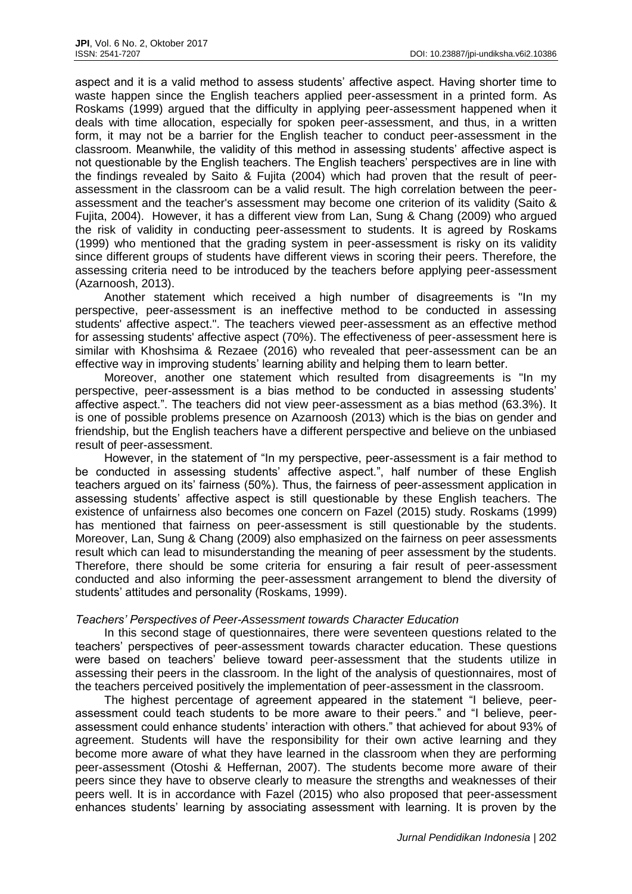aspect and it is a valid method to assess students' affective aspect. Having shorter time to waste happen since the English teachers applied peer-assessment in a printed form. As Roskams (1999) argued that the difficulty in applying peer-assessment happened when it deals with time allocation, especially for spoken peer-assessment, and thus, in a written form, it may not be a barrier for the English teacher to conduct peer-assessment in the classroom. Meanwhile, the validity of this method in assessing students' affective aspect is not questionable by the English teachers. The English teachers' perspectives are in line with the findings revealed by Saito & Fujita (2004) which had proven that the result of peerassessment in the classroom can be a valid result. The high correlation between the peerassessment and the teacher's assessment may become one criterion of its validity (Saito & Fujita, 2004). However, it has a different view from Lan, Sung & Chang (2009) who argued the risk of validity in conducting peer-assessment to students. It is agreed by Roskams (1999) who mentioned that the grading system in peer-assessment is risky on its validity since different groups of students have different views in scoring their peers. Therefore, the assessing criteria need to be introduced by the teachers before applying peer-assessment (Azarnoosh, 2013).

Another statement which received a high number of disagreements is "In my perspective, peer-assessment is an ineffective method to be conducted in assessing students' affective aspect.". The teachers viewed peer-assessment as an effective method for assessing students' affective aspect (70%). The effectiveness of peer-assessment here is similar with Khoshsima & Rezaee (2016) who revealed that peer-assessment can be an effective way in improving students' learning ability and helping them to learn better.

Moreover, another one statement which resulted from disagreements is "In my perspective, peer-assessment is a bias method to be conducted in assessing students' affective aspect.". The teachers did not view peer-assessment as a bias method (63.3%). It is one of possible problems presence on Azarnoosh (2013) which is the bias on gender and friendship, but the English teachers have a different perspective and believe on the unbiased result of peer-assessment.

However, in the statement of "In my perspective, peer-assessment is a fair method to be conducted in assessing students' affective aspect.", half number of these English teachers argued on its' fairness (50%). Thus, the fairness of peer-assessment application in assessing students' affective aspect is still questionable by these English teachers. The existence of unfairness also becomes one concern on Fazel (2015) study. Roskams (1999) has mentioned that fairness on peer-assessment is still questionable by the students. Moreover, Lan, Sung & Chang (2009) also emphasized on the fairness on peer assessments result which can lead to misunderstanding the meaning of peer assessment by the students. Therefore, there should be some criteria for ensuring a fair result of peer-assessment conducted and also informing the peer-assessment arrangement to blend the diversity of students' attitudes and personality (Roskams, 1999).

## *Teachers' Perspectives of Peer-Assessment towards Character Education*

In this second stage of questionnaires, there were seventeen questions related to the teachers' perspectives of peer-assessment towards character education. These questions were based on teachers' believe toward peer-assessment that the students utilize in assessing their peers in the classroom. In the light of the analysis of questionnaires, most of the teachers perceived positively the implementation of peer-assessment in the classroom.

The highest percentage of agreement appeared in the statement "I believe, peerassessment could teach students to be more aware to their peers." and "I believe, peerassessment could enhance students' interaction with others." that achieved for about 93% of agreement. Students will have the responsibility for their own active learning and they become more aware of what they have learned in the classroom when they are performing peer-assessment (Otoshi & Heffernan, 2007). The students become more aware of their peers since they have to observe clearly to measure the strengths and weaknesses of their peers well. It is in accordance with Fazel (2015) who also proposed that peer-assessment enhances students' learning by associating assessment with learning. It is proven by the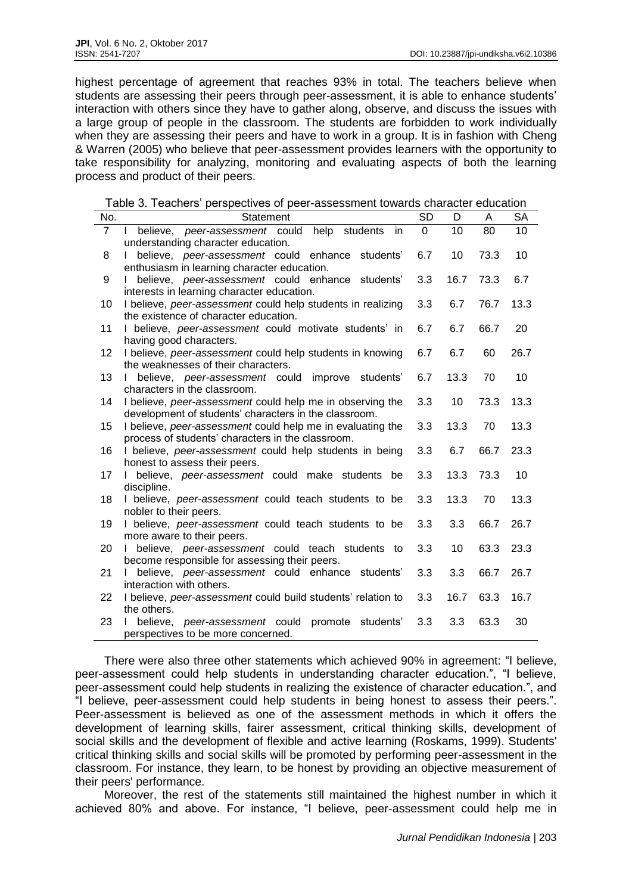highest percentage of agreement that reaches 93% in total. The teachers believe when students are assessing their peers through peer-assessment, it is able to enhance students' interaction with others since they have to gather along, observe, and discuss the issues with a large group of people in the classroom. The students are forbidden to work individually when they are assessing their peers and have to work in a group. It is in fashion with Cheng & Warren (2005) who believe that peer-assessment provides learners with the opportunity to take responsibility for analyzing, monitoring and evaluating aspects of both the learning process and product of their peers.

Table 3. Teachers' perspectives of peer-assessment towards character education

| No.            | Statement                                                                                                           | <b>SD</b> | D    | A    | <b>SA</b> |
|----------------|---------------------------------------------------------------------------------------------------------------------|-----------|------|------|-----------|
| $\overline{7}$ | help<br>believe, peer-assessment could<br>students<br>in                                                            | 0         | 10   | 80   | 10        |
|                | understanding character education.                                                                                  |           |      |      |           |
| 8              | believe, peer-assessment could enhance<br>students'                                                                 | 6.7       | 10   | 73.3 | 10        |
|                | enthusiasm in learning character education.                                                                         |           |      |      |           |
| 9              | believe, peer-assessment could enhance<br>students'                                                                 | 3.3       | 16.7 | 73.3 | 6.7       |
|                | interests in learning character education.                                                                          |           |      |      |           |
| 10             | I believe, peer-assessment could help students in realizing                                                         | 3.3       | 6.7  | 76.7 | 13.3      |
|                | the existence of character education.                                                                               |           |      |      |           |
| 11             | I believe, peer-assessment could motivate students' in                                                              | 6.7       | 6.7  | 66.7 | 20        |
|                | having good characters.                                                                                             |           |      |      |           |
| 12             | I believe, peer-assessment could help students in knowing                                                           | 6.7       | 6.7  | 60   | 26.7      |
|                | the weaknesses of their characters.                                                                                 |           |      |      |           |
| 13             | believe, peer-assessment could<br>improve students'                                                                 | 6.7       | 13.3 | 70   | 10        |
|                | characters in the classroom.                                                                                        |           |      |      |           |
| 14             | I believe, peer-assessment could help me in observing the                                                           | 3.3       | 10   | 73.3 | 13.3      |
| 15             | development of students' characters in the classroom.<br>I believe, peer-assessment could help me in evaluating the | 3.3       | 13.3 | 70   | 13.3      |
|                | process of students' characters in the classroom.                                                                   |           |      |      |           |
| 16             | I believe, peer-assessment could help students in being                                                             | 3.3       | 6.7  | 66.7 | 23.3      |
|                | honest to assess their peers.                                                                                       |           |      |      |           |
| 17             | believe, peer-assessment could make students be                                                                     | 3.3       | 13.3 | 73.3 | 10        |
|                | discipline.                                                                                                         |           |      |      |           |
| 18             | I believe, peer-assessment could teach students to be                                                               | 3.3       | 13.3 | 70   | 13.3      |
|                | nobler to their peers.                                                                                              |           |      |      |           |
| 19             | I believe, peer-assessment could teach students to be                                                               | 3.3       | 3.3  | 66.7 | 26.7      |
|                | more aware to their peers.                                                                                          |           |      |      |           |
| 20             | believe, peer-assessment could teach students<br>to                                                                 | 3.3       | 10   | 63.3 | 23.3      |
|                | become responsible for assessing their peers.                                                                       |           |      |      |           |
| 21             | believe, peer-assessment could enhance students'                                                                    | 3.3       | 3.3  | 66.7 | 26.7      |
|                | interaction with others.                                                                                            |           |      |      |           |
| 22             | I believe, peer-assessment could build students' relation to                                                        | 3.3       | 16.7 | 63.3 | 16.7      |
|                | the others.                                                                                                         |           |      |      |           |
| 23             | believe,<br>peer-assessment could<br>promote<br>students'                                                           | 3.3       | 3.3  | 63.3 | 30        |
|                | perspectives to be more concerned.                                                                                  |           |      |      |           |

There were also three other statements which achieved 90% in agreement: "I believe, peer-assessment could help students in understanding character education.", "I believe, peer-assessment could help students in realizing the existence of character education.", and "I believe, peer-assessment could help students in being honest to assess their peers.". Peer-assessment is believed as one of the assessment methods in which it offers the development of learning skills, fairer assessment, critical thinking skills, development of social skills and the development of flexible and active learning (Roskams, 1999). Students' critical thinking skills and social skills will be promoted by performing peer-assessment in the classroom. For instance, they learn, to be honest by providing an objective measurement of their peers' performance.

Moreover, the rest of the statements still maintained the highest number in which it achieved 80% and above. For instance, "I believe, peer-assessment could help me in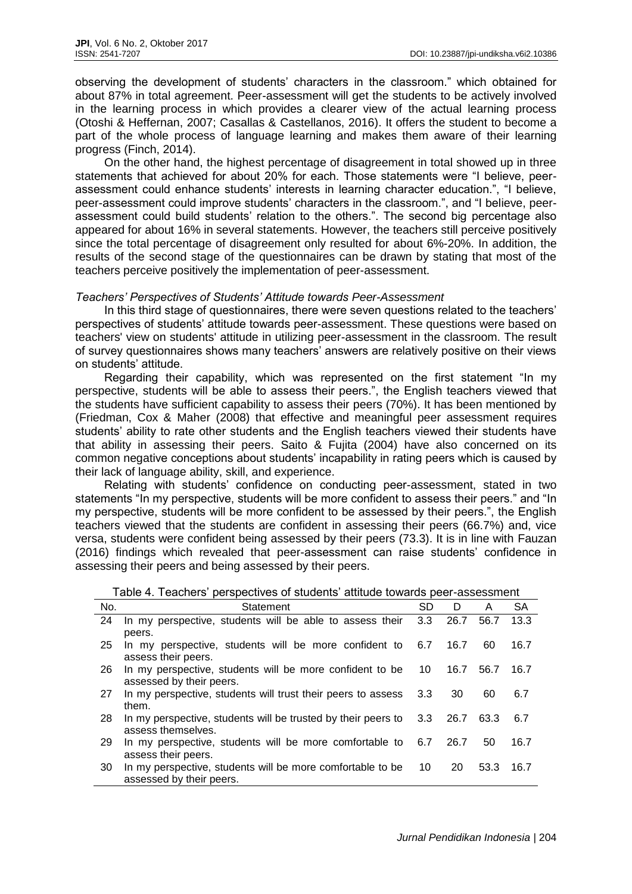observing the development of students' characters in the classroom." which obtained for about 87% in total agreement. Peer-assessment will get the students to be actively involved in the learning process in which provides a clearer view of the actual learning process (Otoshi & Heffernan, 2007; Casallas & Castellanos, 2016). It offers the student to become a part of the whole process of language learning and makes them aware of their learning progress (Finch, 2014).

On the other hand, the highest percentage of disagreement in total showed up in three statements that achieved for about 20% for each. Those statements were "I believe, peerassessment could enhance students' interests in learning character education.", "I believe, peer-assessment could improve students' characters in the classroom.", and "I believe, peerassessment could build students' relation to the others.". The second big percentage also appeared for about 16% in several statements. However, the teachers still perceive positively since the total percentage of disagreement only resulted for about 6%-20%. In addition, the results of the second stage of the questionnaires can be drawn by stating that most of the teachers perceive positively the implementation of peer-assessment.

## *Teachers' Perspectives of Students' Attitude towards Peer-Assessment*

In this third stage of questionnaires, there were seven questions related to the teachers' perspectives of students' attitude towards peer-assessment. These questions were based on teachers' view on students' attitude in utilizing peer-assessment in the classroom. The result of survey questionnaires shows many teachers' answers are relatively positive on their views on students' attitude.

Regarding their capability, which was represented on the first statement "In my perspective, students will be able to assess their peers.", the English teachers viewed that the students have sufficient capability to assess their peers (70%). It has been mentioned by (Friedman, Cox & Maher (2008) that effective and meaningful peer assessment requires students' ability to rate other students and the English teachers viewed their students have that ability in assessing their peers. Saito & Fujita (2004) have also concerned on its common negative conceptions about students' incapability in rating peers which is caused by their lack of language ability, skill, and experience.

Relating with students' confidence on conducting peer-assessment, stated in two statements "In my perspective, students will be more confident to assess their peers." and "In my perspective, students will be more confident to be assessed by their peers.", the English teachers viewed that the students are confident in assessing their peers (66.7%) and, vice versa, students were confident being assessed by their peers (73.3). It is in line with Fauzan (2016) findings which revealed that peer-assessment can raise students' confidence in assessing their peers and being assessed by their peers.

| $\frac{1}{2}$ |                                                                          |     |      |      |      |
|---------------|--------------------------------------------------------------------------|-----|------|------|------|
| No.           | Statement                                                                | SD  | D    | A    | SА   |
| 24            | In my perspective, students will be able to assess their                 | 3.3 | 26.7 | 56.7 | 13.3 |
|               | peers.                                                                   |     |      |      |      |
| 25            | In my perspective, students will be more confident to 6.7                |     | 16.7 | 60   | 16.7 |
|               | assess their peers.                                                      |     |      |      |      |
| -26           | In my perspective, students will be more confident to be                 | 10  | 16.7 | 56.7 | 16.7 |
|               | assessed by their peers.                                                 |     |      |      |      |
| 27            | In my perspective, students will trust their peers to assess 3.3         |     | 30   | 60   | 6.7  |
|               | them.                                                                    |     |      |      |      |
| -28           | In my perspective, students will be trusted by their peers to $3.3$ 26.7 |     |      | 63.3 | 6.7  |
|               | assess themselves.                                                       |     |      |      |      |
| 29            | In my perspective, students will be more comfortable to 6.7              |     | 26.7 | 50   | 16.7 |
|               | assess their peers.                                                      |     |      |      |      |
| -30           | In my perspective, students will be more comfortable to be               | 10  | 20   | 53.3 | 16.7 |
|               | assessed by their peers.                                                 |     |      |      |      |

Table 4. Teachers' perspectives of students' attitude towards peer-assessment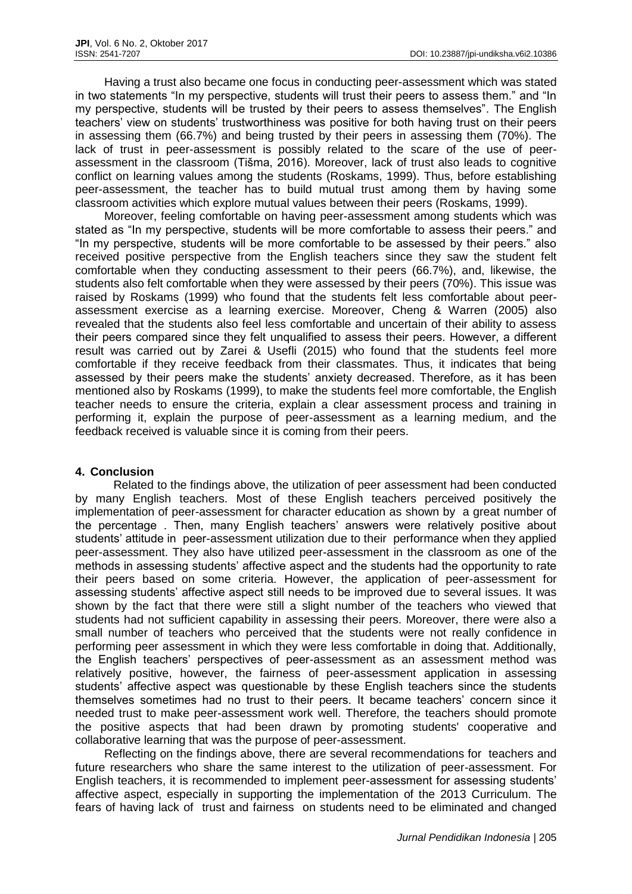Having a trust also became one focus in conducting peer-assessment which was stated in two statements "In my perspective, students will trust their peers to assess them." and "In my perspective, students will be trusted by their peers to assess themselves". The English teachers' view on students' trustworthiness was positive for both having trust on their peers in assessing them (66.7%) and being trusted by their peers in assessing them (70%). The lack of trust in peer-assessment is possibly related to the scare of the use of peerassessment in the classroom (Tišma, 2016). Moreover, lack of trust also leads to cognitive conflict on learning values among the students (Roskams, 1999). Thus, before establishing peer-assessment, the teacher has to build mutual trust among them by having some classroom activities which explore mutual values between their peers (Roskams, 1999).

Moreover, feeling comfortable on having peer-assessment among students which was stated as "In my perspective, students will be more comfortable to assess their peers." and "In my perspective, students will be more comfortable to be assessed by their peers." also received positive perspective from the English teachers since they saw the student felt comfortable when they conducting assessment to their peers (66.7%), and, likewise, the students also felt comfortable when they were assessed by their peers (70%). This issue was raised by Roskams (1999) who found that the students felt less comfortable about peerassessment exercise as a learning exercise. Moreover, Cheng & Warren (2005) also revealed that the students also feel less comfortable and uncertain of their ability to assess their peers compared since they felt unqualified to assess their peers. However, a different result was carried out by Zarei & Usefli (2015) who found that the students feel more comfortable if they receive feedback from their classmates. Thus, it indicates that being assessed by their peers make the students' anxiety decreased. Therefore, as it has been mentioned also by Roskams (1999), to make the students feel more comfortable, the English teacher needs to ensure the criteria, explain a clear assessment process and training in performing it, explain the purpose of peer-assessment as a learning medium, and the feedback received is valuable since it is coming from their peers.

## **4. Conclusion**

 Related to the findings above, the utilization of peer assessment had been conducted by many English teachers. Most of these English teachers perceived positively the implementation of peer-assessment for character education as shown by a great number of the percentage . Then, many English teachers' answers were relatively positive about students' attitude in peer-assessment utilization due to their performance when they applied peer-assessment. They also have utilized peer-assessment in the classroom as one of the methods in assessing students' affective aspect and the students had the opportunity to rate their peers based on some criteria. However, the application of peer-assessment for assessing students' affective aspect still needs to be improved due to several issues. It was shown by the fact that there were still a slight number of the teachers who viewed that students had not sufficient capability in assessing their peers. Moreover, there were also a small number of teachers who perceived that the students were not really confidence in performing peer assessment in which they were less comfortable in doing that. Additionally, the English teachers' perspectives of peer-assessment as an assessment method was relatively positive, however, the fairness of peer-assessment application in assessing students' affective aspect was questionable by these English teachers since the students themselves sometimes had no trust to their peers. It became teachers' concern since it needed trust to make peer-assessment work well. Therefore, the teachers should promote the positive aspects that had been drawn by promoting students' cooperative and collaborative learning that was the purpose of peer-assessment.

Reflecting on the findings above, there are several recommendations for teachers and future researchers who share the same interest to the utilization of peer-assessment. For English teachers, it is recommended to implement peer-assessment for assessing students' affective aspect, especially in supporting the implementation of the 2013 Curriculum. The fears of having lack of trust and fairness on students need to be eliminated and changed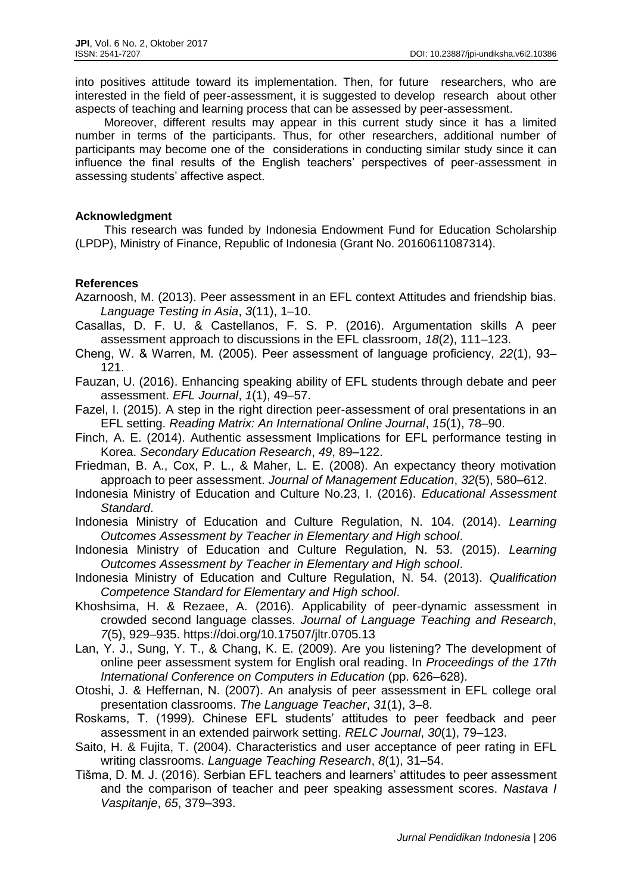into positives attitude toward its implementation. Then, for future researchers, who are interested in the field of peer-assessment, it is suggested to develop research about other aspects of teaching and learning process that can be assessed by peer-assessment.

Moreover, different results may appear in this current study since it has a limited number in terms of the participants. Thus, for other researchers, additional number of participants may become one of the considerations in conducting similar study since it can influence the final results of the English teachers' perspectives of peer-assessment in assessing students' affective aspect.

## **Acknowledgment**

This research was funded by Indonesia Endowment Fund for Education Scholarship (LPDP), Ministry of Finance, Republic of Indonesia (Grant No. 20160611087314).

## **References**

- Azarnoosh, M. (2013). Peer assessment in an EFL context Attitudes and friendship bias. *Language Testing in Asia*, *3*(11), 1–10.
- Casallas, D. F. U. & Castellanos, F. S. P. (2016). Argumentation skills A peer assessment approach to discussions in the EFL classroom, *18*(2), 111–123.
- Cheng, W. & Warren, M. (2005). Peer assessment of language proficiency, *22*(1), 93– 121.
- Fauzan, U. (2016). Enhancing speaking ability of EFL students through debate and peer assessment. *EFL Journal*, *1*(1), 49–57.

Fazel, I. (2015). A step in the right direction peer-assessment of oral presentations in an EFL setting. *Reading Matrix: An International Online Journal*, *15*(1), 78–90.

- Finch, A. E. (2014). Authentic assessment Implications for EFL performance testing in Korea. *Secondary Education Research*, *49*, 89–122.
- Friedman, B. A., Cox, P. L., & Maher, L. E. (2008). An expectancy theory motivation approach to peer assessment. *Journal of Management Education*, *32*(5), 580–612.
- Indonesia Ministry of Education and Culture No.23, I. (2016). *Educational Assessment Standard*.
- Indonesia Ministry of Education and Culture Regulation, N. 104. (2014). *Learning Outcomes Assessment by Teacher in Elementary and High school*.
- Indonesia Ministry of Education and Culture Regulation, N. 53. (2015). *Learning Outcomes Assessment by Teacher in Elementary and High school*.
- Indonesia Ministry of Education and Culture Regulation, N. 54. (2013). *Qualification Competence Standard for Elementary and High school*.
- Khoshsima, H. & Rezaee, A. (2016). Applicability of peer-dynamic assessment in crowded second language classes. *Journal of Language Teaching and Research*, *7*(5), 929–935. https://doi.org/10.17507/jltr.0705.13
- Lan, Y. J., Sung, Y. T., & Chang, K. E. (2009). Are you listening? The development of online peer assessment system for English oral reading. In *Proceedings of the 17th International Conference on Computers in Education* (pp. 626–628).
- Otoshi, J. & Heffernan, N. (2007). An analysis of peer assessment in EFL college oral presentation classrooms. *The Language Teacher*, *31*(1), 3–8.
- Roskams, T. (1999). Chinese EFL students' attitudes to peer feedback and peer assessment in an extended pairwork setting. *RELC Journal*, *30*(1), 79–123.
- Saito, H. & Fujita, T. (2004). Characteristics and user acceptance of peer rating in EFL writing classrooms. *Language Teaching Research*, *8*(1), 31–54.
- Tišma, D. M. J. (2016). Serbian EFL teachers and learners' attitudes to peer assessment and the comparison of teacher and peer speaking assessment scores. *Nastava I Vaspitanje*, *65*, 379–393.